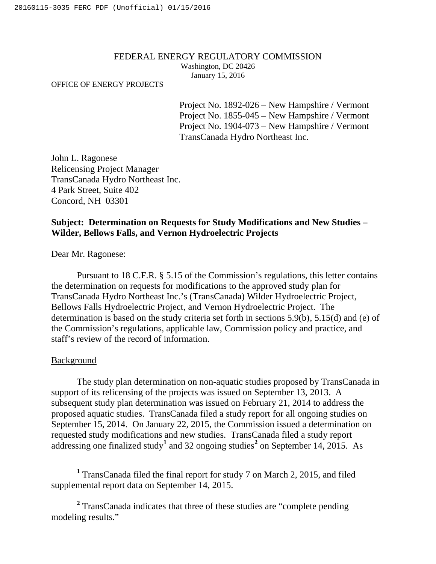#### FEDERAL ENERGY REGULATORY COMMISSION Washington, DC 20426 January 15, 2016

#### OFFICE OF ENERGY PROJECTS

Project No. 1892-026 – New Hampshire / Vermont Project No. 1855-045 – New Hampshire / Vermont Project No. 1904-073 – New Hampshire / Vermont TransCanada Hydro Northeast Inc.

John L. Ragonese Relicensing Project Manager TransCanada Hydro Northeast Inc. 4 Park Street, Suite 402 Concord, NH 03301

# **Subject: Determination on Requests for Study Modifications and New Studies – Wilder, Bellows Falls, and Vernon Hydroelectric Projects**

Dear Mr. Ragonese:

Pursuant to 18 C.F.R. § 5.15 of the Commission's regulations, this letter contains the determination on requests for modifications to the approved study plan for TransCanada Hydro Northeast Inc.'s (TransCanada) Wilder Hydroelectric Project, Bellows Falls Hydroelectric Project, and Vernon Hydroelectric Project. The determination is based on the study criteria set forth in sections 5.9(b), 5.15(d) and (e) of the Commission's regulations, applicable law, Commission policy and practice, and staff's review of the record of information.

## Background

The study plan determination on non-aquatic studies proposed by TransCanada in support of its relicensing of the projects was issued on September 13, 2013. A subsequent study plan determination was issued on February 21, 2014 to address the proposed aquatic studies. TransCanada filed a study report for all ongoing studies on September 15, 2014. On January 22, 2015, the Commission issued a determination on requested study modifications and new studies. TransCanada filed a study report addressing one finalized study**<sup>1</sup>** and 32 ongoing studies**<sup>2</sup>** on September 14, 2015. As

**<sup>1</sup>** TransCanada filed the final report for study 7 on March 2, 2015, and filed supplemental report data on September 14, 2015.

**<sup>2</sup>** TransCanada indicates that three of these studies are "complete pending modeling results."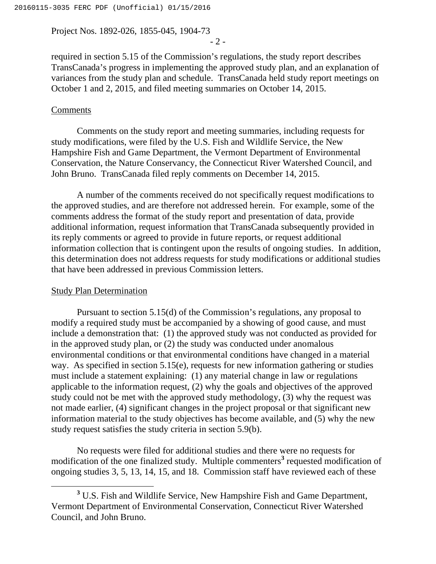Project Nos. 1892-026, 1855-045, 1904-73

- 2 -

required in section 5.15 of the Commission's regulations, the study report describes TransCanada's progress in implementing the approved study plan, and an explanation of variances from the study plan and schedule. TransCanada held study report meetings on October 1 and 2, 2015, and filed meeting summaries on October 14, 2015.

## **Comments**

Comments on the study report and meeting summaries, including requests for study modifications, were filed by the U.S. Fish and Wildlife Service, the New Hampshire Fish and Game Department, the Vermont Department of Environmental Conservation, the Nature Conservancy, the Connecticut River Watershed Council, and John Bruno. TransCanada filed reply comments on December 14, 2015.

A number of the comments received do not specifically request modifications to the approved studies, and are therefore not addressed herein. For example, some of the comments address the format of the study report and presentation of data, provide additional information, request information that TransCanada subsequently provided in its reply comments or agreed to provide in future reports, or request additional information collection that is contingent upon the results of ongoing studies. In addition, this determination does not address requests for study modifications or additional studies that have been addressed in previous Commission letters.

#### Study Plan Determination

Pursuant to section 5.15(d) of the Commission's regulations, any proposal to modify a required study must be accompanied by a showing of good cause, and must include a demonstration that: (1) the approved study was not conducted as provided for in the approved study plan, or (2) the study was conducted under anomalous environmental conditions or that environmental conditions have changed in a material way. As specified in section 5.15(e), requests for new information gathering or studies must include a statement explaining: (1) any material change in law or regulations applicable to the information request, (2) why the goals and objectives of the approved study could not be met with the approved study methodology, (3) why the request was not made earlier, (4) significant changes in the project proposal or that significant new information material to the study objectives has become available, and (5) why the new study request satisfies the study criteria in section 5.9(b).

No requests were filed for additional studies and there were no requests for modification of the one finalized study. Multiple commenters**<sup>3</sup>** requested modification of ongoing studies 3, 5, 13, 14, 15, and 18. Commission staff have reviewed each of these

**<sup>3</sup>** U.S. Fish and Wildlife Service, New Hampshire Fish and Game Department, Vermont Department of Environmental Conservation, Connecticut River Watershed Council, and John Bruno.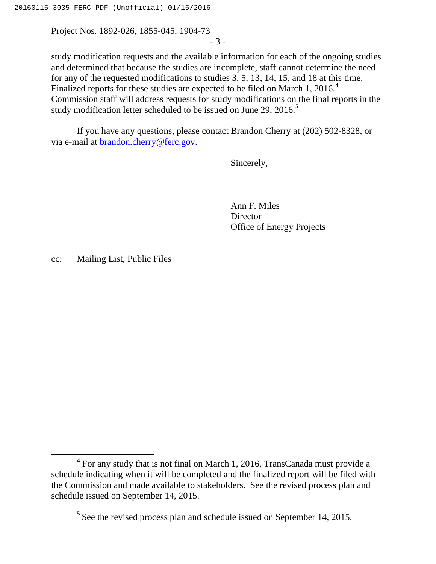Project Nos. 1892-026, 1855-045, 1904-73

- 3 -

study modification requests and the available information for each of the ongoing studies and determined that because the studies are incomplete, staff cannot determine the need for any of the requested modifications to studies 3, 5, 13, 14, 15, and 18 at this time. Finalized reports for these studies are expected to be filed on March 1, 2016.**<sup>4</sup>** Commission staff will address requests for study modifications on the final reports in the study modification letter scheduled to be issued on June 29, 2016.**<sup>5</sup>**

If you have any questions, please contact Brandon Cherry at (202) 502-8328, or via e-mail at [brandon.cherry@ferc.gov.](mailto:brandon.cherry@ferc.gov)

Sincerely,

Ann F. Miles **Director** Office of Energy Projects

cc: Mailing List, Public Files

**<sup>4</sup>** For any study that is not final on March 1, 2016, TransCanada must provide a schedule indicating when it will be completed and the finalized report will be filed with the Commission and made available to stakeholders. See the revised process plan and schedule issued on September 14, 2015.

**<sup>5</sup>** See the revised process plan and schedule issued on September 14, 2015.